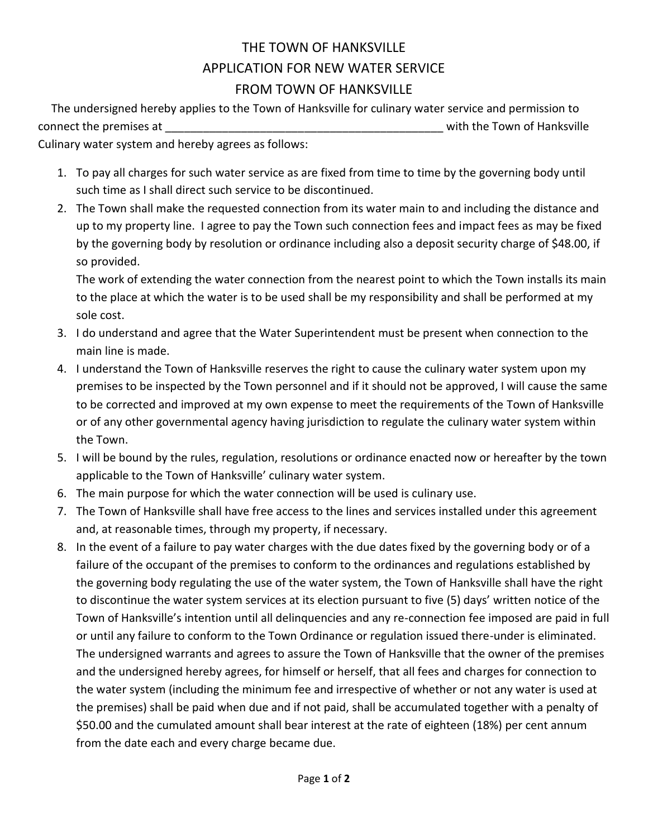## THE TOWN OF HANKSVILLE APPLICATION FOR NEW WATER SERVICE FROM TOWN OF HANKSVILLE

 The undersigned hereby applies to the Town of Hanksville for culinary water service and permission to connect the premises at  $\Box$ 

Culinary water system and hereby agrees as follows:

- 1. To pay all charges for such water service as are fixed from time to time by the governing body until such time as I shall direct such service to be discontinued.
- 2. The Town shall make the requested connection from its water main to and including the distance and up to my property line. I agree to pay the Town such connection fees and impact fees as may be fixed by the governing body by resolution or ordinance including also a deposit security charge of \$48.00, if so provided.

The work of extending the water connection from the nearest point to which the Town installs its main to the place at which the water is to be used shall be my responsibility and shall be performed at my sole cost.

- 3. I do understand and agree that the Water Superintendent must be present when connection to the main line is made.
- 4. I understand the Town of Hanksville reserves the right to cause the culinary water system upon my premises to be inspected by the Town personnel and if it should not be approved, I will cause the same to be corrected and improved at my own expense to meet the requirements of the Town of Hanksville or of any other governmental agency having jurisdiction to regulate the culinary water system within the Town.
- 5. I will be bound by the rules, regulation, resolutions or ordinance enacted now or hereafter by the town applicable to the Town of Hanksville' culinary water system.
- 6. The main purpose for which the water connection will be used is culinary use.
- 7. The Town of Hanksville shall have free access to the lines and services installed under this agreement and, at reasonable times, through my property, if necessary.
- 8. In the event of a failure to pay water charges with the due dates fixed by the governing body or of a failure of the occupant of the premises to conform to the ordinances and regulations established by the governing body regulating the use of the water system, the Town of Hanksville shall have the right to discontinue the water system services at its election pursuant to five (5) days' written notice of the Town of Hanksville's intention until all delinquencies and any re-connection fee imposed are paid in full or until any failure to conform to the Town Ordinance or regulation issued there-under is eliminated. The undersigned warrants and agrees to assure the Town of Hanksville that the owner of the premises and the undersigned hereby agrees, for himself or herself, that all fees and charges for connection to the water system (including the minimum fee and irrespective of whether or not any water is used at the premises) shall be paid when due and if not paid, shall be accumulated together with a penalty of \$50.00 and the cumulated amount shall bear interest at the rate of eighteen (18%) per cent annum from the date each and every charge became due.